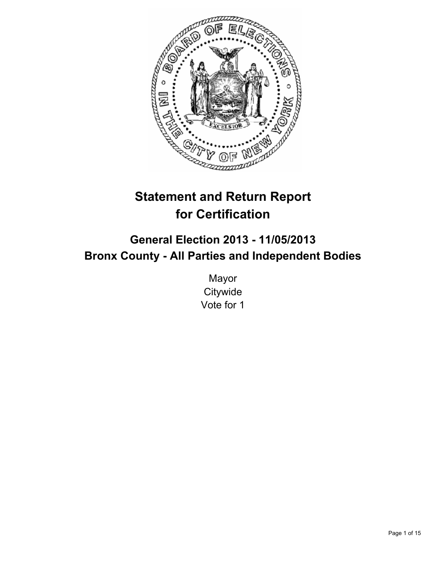

# **Statement and Return Report for Certification**

# **General Election 2013 - 11/05/2013 Bronx County - All Parties and Independent Bodies**

Mayor **Citywide** Vote for 1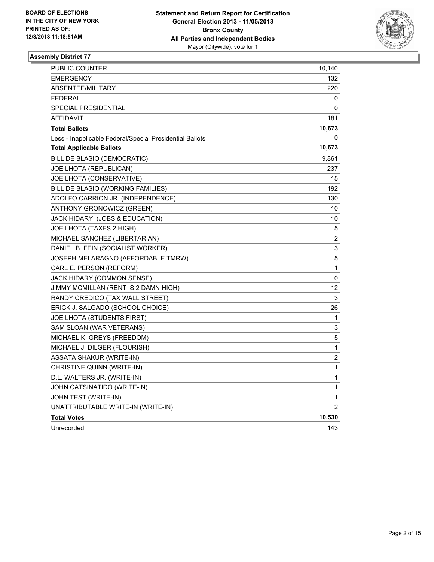

| PUBLIC COUNTER                                           | 10,140                  |
|----------------------------------------------------------|-------------------------|
| EMERGENCY                                                | 132                     |
| ABSENTEE/MILITARY                                        | 220                     |
| FEDERAL                                                  | 0                       |
| SPECIAL PRESIDENTIAL                                     | 0                       |
| <b>AFFIDAVIT</b>                                         | 181                     |
| <b>Total Ballots</b>                                     | 10,673                  |
| Less - Inapplicable Federal/Special Presidential Ballots | 0                       |
| <b>Total Applicable Ballots</b>                          | 10,673                  |
| BILL DE BLASIO (DEMOCRATIC)                              | 9,861                   |
| JOE LHOTA (REPUBLICAN)                                   | 237                     |
| JOE LHOTA (CONSERVATIVE)                                 | 15                      |
| BILL DE BLASIO (WORKING FAMILIES)                        | 192                     |
| ADOLFO CARRION JR. (INDEPENDENCE)                        | 130                     |
| ANTHONY GRONOWICZ (GREEN)                                | 10                      |
| JACK HIDARY (JOBS & EDUCATION)                           | 10                      |
| JOE LHOTA (TAXES 2 HIGH)                                 | 5                       |
| MICHAEL SANCHEZ (LIBERTARIAN)                            | 2                       |
| DANIEL B. FEIN (SOCIALIST WORKER)                        | 3                       |
| JOSEPH MELARAGNO (AFFORDABLE TMRW)                       | 5                       |
| CARL E. PERSON (REFORM)                                  | 1                       |
| JACK HIDARY (COMMON SENSE)                               | 0                       |
| JIMMY MCMILLAN (RENT IS 2 DAMN HIGH)                     | 12                      |
| RANDY CREDICO (TAX WALL STREET)                          | 3                       |
| ERICK J. SALGADO (SCHOOL CHOICE)                         | 26                      |
| JOE LHOTA (STUDENTS FIRST)                               | 1                       |
| SAM SLOAN (WAR VETERANS)                                 | 3                       |
| MICHAEL K. GREYS (FREEDOM)                               | 5                       |
| MICHAEL J. DILGER (FLOURISH)                             | 1                       |
| ASSATA SHAKUR (WRITE-IN)                                 | $\overline{\mathbf{c}}$ |
| CHRISTINE QUINN (WRITE-IN)                               | 1                       |
| D.L. WALTERS JR. (WRITE-IN)                              | 1                       |
| JOHN CATSINATIDO (WRITE-IN)                              | 1                       |
| JOHN TEST (WRITE-IN)                                     | 1                       |
| UNATTRIBUTABLE WRITE-IN (WRITE-IN)                       | 2                       |
| <b>Total Votes</b>                                       | 10,530                  |
| Unrecorded                                               | 143                     |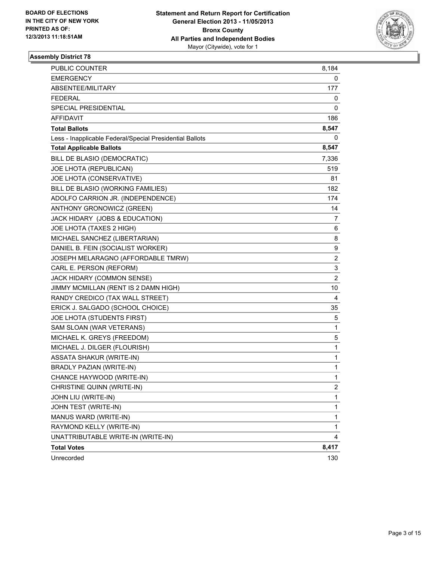

| <b>PUBLIC COUNTER</b>                                    | 8,184                   |
|----------------------------------------------------------|-------------------------|
| EMERGENCY                                                | 0                       |
| ABSENTEE/MILITARY                                        | 177                     |
| <b>FEDERAL</b>                                           | 0                       |
| SPECIAL PRESIDENTIAL                                     | 0                       |
| <b>AFFIDAVIT</b>                                         | 186                     |
| <b>Total Ballots</b>                                     | 8,547                   |
| Less - Inapplicable Federal/Special Presidential Ballots | 0                       |
| <b>Total Applicable Ballots</b>                          | 8,547                   |
| BILL DE BLASIO (DEMOCRATIC)                              | 7,336                   |
| JOE LHOTA (REPUBLICAN)                                   | 519                     |
| JOE LHOTA (CONSERVATIVE)                                 | 81                      |
| BILL DE BLASIO (WORKING FAMILIES)                        | 182                     |
| ADOLFO CARRION JR. (INDEPENDENCE)                        | 174                     |
| ANTHONY GRONOWICZ (GREEN)                                | 14                      |
| JACK HIDARY (JOBS & EDUCATION)                           | 7                       |
| JOE LHOTA (TAXES 2 HIGH)                                 | 6                       |
| MICHAEL SANCHEZ (LIBERTARIAN)                            | 8                       |
| DANIEL B. FEIN (SOCIALIST WORKER)                        | 9                       |
| JOSEPH MELARAGNO (AFFORDABLE TMRW)                       | $\overline{\mathbf{c}}$ |
| CARL E. PERSON (REFORM)                                  | 3                       |
| JACK HIDARY (COMMON SENSE)                               | $\overline{\mathbf{c}}$ |
| JIMMY MCMILLAN (RENT IS 2 DAMN HIGH)                     | 10                      |
| RANDY CREDICO (TAX WALL STREET)                          | 4                       |
| ERICK J. SALGADO (SCHOOL CHOICE)                         | 35                      |
| JOE LHOTA (STUDENTS FIRST)                               | 5                       |
| SAM SLOAN (WAR VETERANS)                                 | 1                       |
| MICHAEL K. GREYS (FREEDOM)                               | 5                       |
| MICHAEL J. DILGER (FLOURISH)                             | $\mathbf{1}$            |
| <b>ASSATA SHAKUR (WRITE-IN)</b>                          | 1                       |
| <b>BRADLY PAZIAN (WRITE-IN)</b>                          | 1                       |
| CHANCE HAYWOOD (WRITE-IN)                                | $\mathbf{1}$            |
| CHRISTINE QUINN (WRITE-IN)                               | $\overline{2}$          |
| JOHN LIU (WRITE-IN)                                      | 1                       |
| JOHN TEST (WRITE-IN)                                     | $\mathbf{1}$            |
| MANUS WARD (WRITE-IN)                                    | $\mathbf{1}$            |
| RAYMOND KELLY (WRITE-IN)                                 | $\mathbf{1}$            |
| UNATTRIBUTABLE WRITE-IN (WRITE-IN)                       | 4                       |
| <b>Total Votes</b>                                       | 8,417                   |
| Unrecorded                                               | 130                     |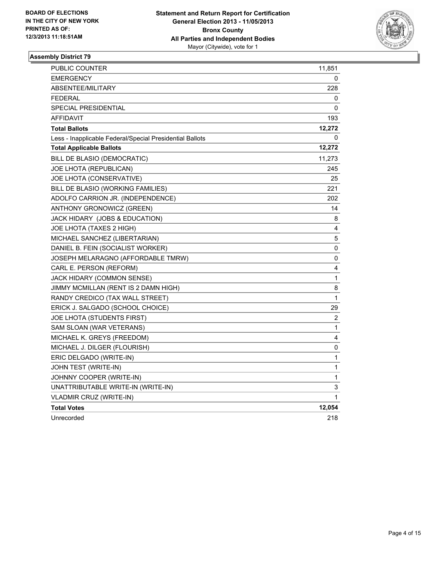

| <b>PUBLIC COUNTER</b>                                    | 11,851 |
|----------------------------------------------------------|--------|
| <b>EMERGENCY</b>                                         | 0      |
| ABSENTEE/MILITARY                                        | 228    |
| <b>FEDERAL</b>                                           | 0      |
| <b>SPECIAL PRESIDENTIAL</b>                              | 0      |
| <b>AFFIDAVIT</b>                                         | 193    |
| <b>Total Ballots</b>                                     | 12,272 |
| Less - Inapplicable Federal/Special Presidential Ballots | 0      |
| <b>Total Applicable Ballots</b>                          | 12,272 |
| BILL DE BLASIO (DEMOCRATIC)                              | 11,273 |
| JOE LHOTA (REPUBLICAN)                                   | 245    |
| JOE LHOTA (CONSERVATIVE)                                 | 25     |
| BILL DE BLASIO (WORKING FAMILIES)                        | 221    |
| ADOLFO CARRION JR. (INDEPENDENCE)                        | 202    |
| ANTHONY GRONOWICZ (GREEN)                                | 14     |
| JACK HIDARY (JOBS & EDUCATION)                           | 8      |
| JOE LHOTA (TAXES 2 HIGH)                                 | 4      |
| MICHAEL SANCHEZ (LIBERTARIAN)                            | 5      |
| DANIEL B. FEIN (SOCIALIST WORKER)                        | 0      |
| JOSEPH MELARAGNO (AFFORDABLE TMRW)                       | 0      |
| CARL E. PERSON (REFORM)                                  | 4      |
| JACK HIDARY (COMMON SENSE)                               | 1      |
| JIMMY MCMILLAN (RENT IS 2 DAMN HIGH)                     | 8      |
| RANDY CREDICO (TAX WALL STREET)                          | 1      |
| ERICK J. SALGADO (SCHOOL CHOICE)                         | 29     |
| JOE LHOTA (STUDENTS FIRST)                               | 2      |
| SAM SLOAN (WAR VETERANS)                                 | 1      |
| MICHAEL K. GREYS (FREEDOM)                               | 4      |
| MICHAEL J. DILGER (FLOURISH)                             | 0      |
| ERIC DELGADO (WRITE-IN)                                  | 1      |
| JOHN TEST (WRITE-IN)                                     | 1      |
| JOHNNY COOPER (WRITE-IN)                                 | 1      |
| UNATTRIBUTABLE WRITE-IN (WRITE-IN)                       | 3      |
| <b>VLADMIR CRUZ (WRITE-IN)</b>                           | 1      |
| <b>Total Votes</b>                                       | 12,054 |
| Unrecorded                                               | 218    |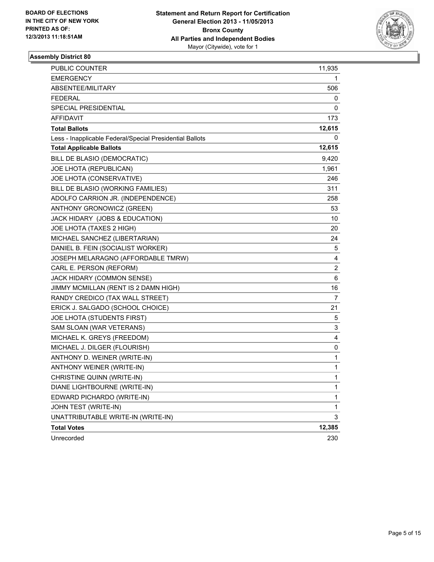

| <b>PUBLIC COUNTER</b>                                    | 11,935         |
|----------------------------------------------------------|----------------|
| <b>EMERGENCY</b>                                         | 1              |
| ABSENTEE/MILITARY                                        | 506            |
| FEDERAL                                                  | 0              |
| <b>SPECIAL PRESIDENTIAL</b>                              | 0              |
| <b>AFFIDAVIT</b>                                         | 173            |
| <b>Total Ballots</b>                                     | 12,615         |
| Less - Inapplicable Federal/Special Presidential Ballots | 0              |
| <b>Total Applicable Ballots</b>                          | 12,615         |
| BILL DE BLASIO (DEMOCRATIC)                              | 9,420          |
| JOE LHOTA (REPUBLICAN)                                   | 1,961          |
| JOE LHOTA (CONSERVATIVE)                                 | 246            |
| BILL DE BLASIO (WORKING FAMILIES)                        | 311            |
| ADOLFO CARRION JR. (INDEPENDENCE)                        | 258            |
| ANTHONY GRONOWICZ (GREEN)                                | 53             |
| JACK HIDARY (JOBS & EDUCATION)                           | 10             |
| JOE LHOTA (TAXES 2 HIGH)                                 | 20             |
| MICHAEL SANCHEZ (LIBERTARIAN)                            | 24             |
| DANIEL B. FEIN (SOCIALIST WORKER)                        | 5              |
| JOSEPH MELARAGNO (AFFORDABLE TMRW)                       | 4              |
| CARL E. PERSON (REFORM)                                  | $\overline{c}$ |
| JACK HIDARY (COMMON SENSE)                               | 6              |
| JIMMY MCMILLAN (RENT IS 2 DAMN HIGH)                     | 16             |
| RANDY CREDICO (TAX WALL STREET)                          | 7              |
| ERICK J. SALGADO (SCHOOL CHOICE)                         | 21             |
| JOE LHOTA (STUDENTS FIRST)                               | 5              |
| SAM SLOAN (WAR VETERANS)                                 | 3              |
| MICHAEL K. GREYS (FREEDOM)                               | 4              |
| MICHAEL J. DILGER (FLOURISH)                             | 0              |
| ANTHONY D. WEINER (WRITE-IN)                             | 1              |
| ANTHONY WEINER (WRITE-IN)                                | 1              |
| CHRISTINE QUINN (WRITE-IN)                               | 1              |
| DIANE LIGHTBOURNE (WRITE-IN)                             | 1              |
| EDWARD PICHARDO (WRITE-IN)                               | 1              |
| JOHN TEST (WRITE-IN)                                     | 1              |
| UNATTRIBUTABLE WRITE-IN (WRITE-IN)                       | 3              |
| <b>Total Votes</b>                                       | 12,385         |
| Unrecorded                                               | 230            |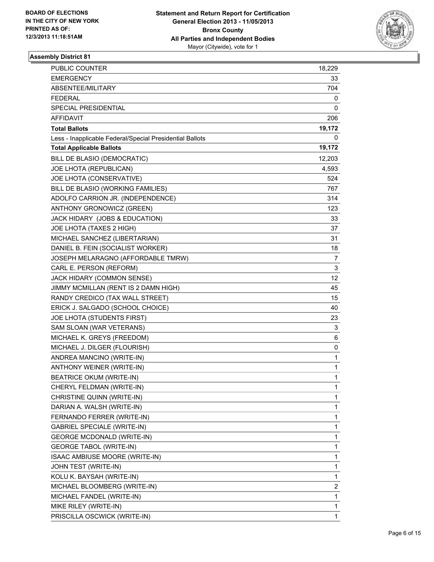

| PUBLIC COUNTER                                           | 18,229 |
|----------------------------------------------------------|--------|
| <b>EMERGENCY</b>                                         | 33     |
| ABSENTEE/MILITARY                                        | 704    |
| <b>FEDERAL</b>                                           | 0      |
| SPECIAL PRESIDENTIAL                                     | 0      |
| <b>AFFIDAVIT</b>                                         | 206    |
| <b>Total Ballots</b>                                     | 19,172 |
| Less - Inapplicable Federal/Special Presidential Ballots | 0      |
| <b>Total Applicable Ballots</b>                          | 19,172 |
| BILL DE BLASIO (DEMOCRATIC)                              | 12,203 |
| JOE LHOTA (REPUBLICAN)                                   | 4,593  |
| JOE LHOTA (CONSERVATIVE)                                 | 524    |
| BILL DE BLASIO (WORKING FAMILIES)                        | 767    |
| ADOLFO CARRION JR. (INDEPENDENCE)                        | 314    |
| ANTHONY GRONOWICZ (GREEN)                                | 123    |
| JACK HIDARY (JOBS & EDUCATION)                           | 33     |
| JOE LHOTA (TAXES 2 HIGH)                                 | 37     |
| MICHAEL SANCHEZ (LIBERTARIAN)                            | 31     |
| DANIEL B. FEIN (SOCIALIST WORKER)                        | 18     |
| JOSEPH MELARAGNO (AFFORDABLE TMRW)                       | 7      |
| CARL E. PERSON (REFORM)                                  | 3      |
| JACK HIDARY (COMMON SENSE)                               | 12     |
| JIMMY MCMILLAN (RENT IS 2 DAMN HIGH)                     | 45     |
| RANDY CREDICO (TAX WALL STREET)                          | 15     |
| ERICK J. SALGADO (SCHOOL CHOICE)                         | 40     |
| JOE LHOTA (STUDENTS FIRST)                               | 23     |
| SAM SLOAN (WAR VETERANS)                                 | 3      |
| MICHAEL K. GREYS (FREEDOM)                               | 6      |
| MICHAEL J. DILGER (FLOURISH)                             | 0      |
| ANDREA MANCINO (WRITE-IN)                                | 1      |
| ANTHONY WEINER (WRITE-IN)                                | 1      |
| <b>BEATRICE OKUM (WRITE-IN)</b>                          | 1      |
| CHERYL FELDMAN (WRITE-IN)                                | 1      |
| CHRISTINE QUINN (WRITE-IN)                               | 1      |
| DARIAN A. WALSH (WRITE-IN)                               | 1      |
| FERNANDO FERRER (WRITE-IN)                               | 1      |
| <b>GABRIEL SPECIALE (WRITE-IN)</b>                       | 1      |
| <b>GEORGE MCDONALD (WRITE-IN)</b>                        | 1      |
| <b>GEORGE TABOL (WRITE-IN)</b>                           | 1      |
| ISAAC AMBIUSE MOORE (WRITE-IN)                           | 1      |
| JOHN TEST (WRITE-IN)                                     | 1      |
| KOLU K. BAYSAH (WRITE-IN)                                | 1      |
| MICHAEL BLOOMBERG (WRITE-IN)                             | 2      |
| MICHAEL FANDEL (WRITE-IN)                                | 1      |
| MIKE RILEY (WRITE-IN)                                    | 1      |
| PRISCILLA OSCWICK (WRITE-IN)                             | 1      |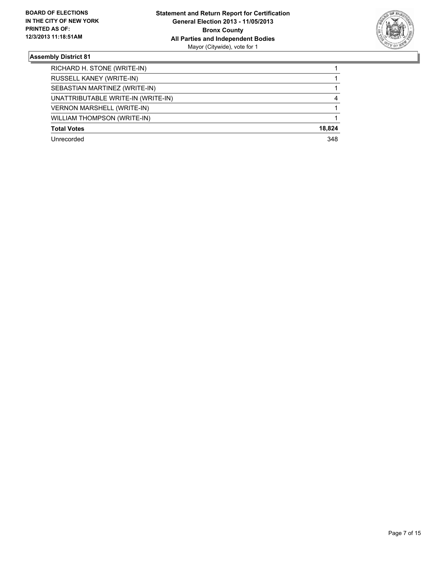

| RICHARD H. STONE (WRITE-IN)        |        |
|------------------------------------|--------|
| RUSSELL KANEY (WRITE-IN)           |        |
| SEBASTIAN MARTINEZ (WRITE-IN)      |        |
| UNATTRIBUTABLE WRITE-IN (WRITE-IN) | 4      |
| <b>VERNON MARSHELL (WRITE-IN)</b>  |        |
| <b>WILLIAM THOMPSON (WRITE-IN)</b> |        |
| <b>Total Votes</b>                 | 18.824 |
| Unrecorded                         | 348    |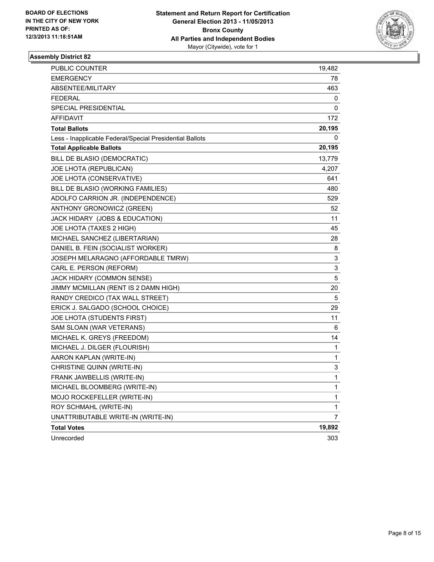

| PUBLIC COUNTER                                           | 19,482                    |
|----------------------------------------------------------|---------------------------|
| <b>EMERGENCY</b>                                         | 78                        |
| ABSENTEE/MILITARY                                        | 463                       |
| <b>FEDERAL</b>                                           | 0                         |
| SPECIAL PRESIDENTIAL                                     | 0                         |
| <b>AFFIDAVIT</b>                                         | 172                       |
| <b>Total Ballots</b>                                     | 20,195                    |
| Less - Inapplicable Federal/Special Presidential Ballots | 0                         |
| <b>Total Applicable Ballots</b>                          | 20,195                    |
| BILL DE BLASIO (DEMOCRATIC)                              | 13,779                    |
| JOE LHOTA (REPUBLICAN)                                   | 4,207                     |
| JOE LHOTA (CONSERVATIVE)                                 | 641                       |
| BILL DE BLASIO (WORKING FAMILIES)                        | 480                       |
| ADOLFO CARRION JR. (INDEPENDENCE)                        | 529                       |
| ANTHONY GRONOWICZ (GREEN)                                | 52                        |
| JACK HIDARY (JOBS & EDUCATION)                           | 11                        |
| JOE LHOTA (TAXES 2 HIGH)                                 | 45                        |
| MICHAEL SANCHEZ (LIBERTARIAN)                            | 28                        |
| DANIEL B. FEIN (SOCIALIST WORKER)                        | 8                         |
| JOSEPH MELARAGNO (AFFORDABLE TMRW)                       | 3                         |
| CARL E. PERSON (REFORM)                                  | $\ensuremath{\mathsf{3}}$ |
| JACK HIDARY (COMMON SENSE)                               | 5                         |
| JIMMY MCMILLAN (RENT IS 2 DAMN HIGH)                     | 20                        |
| RANDY CREDICO (TAX WALL STREET)                          | 5                         |
| ERICK J. SALGADO (SCHOOL CHOICE)                         | 29                        |
| JOE LHOTA (STUDENTS FIRST)                               | 11                        |
| SAM SLOAN (WAR VETERANS)                                 | 6                         |
| MICHAEL K. GREYS (FREEDOM)                               | 14                        |
| MICHAEL J. DILGER (FLOURISH)                             | 1                         |
| AARON KAPLAN (WRITE-IN)                                  | $\mathbf{1}$              |
| CHRISTINE QUINN (WRITE-IN)                               | 3                         |
| FRANK JAWBELLIS (WRITE-IN)                               | $\mathbf{1}$              |
| MICHAEL BLOOMBERG (WRITE-IN)                             | 1                         |
| MOJO ROCKEFELLER (WRITE-IN)                              | 1                         |
| ROY SCHMAHL (WRITE-IN)                                   | $\mathbf{1}$              |
| UNATTRIBUTABLE WRITE-IN (WRITE-IN)                       | $\overline{7}$            |
| <b>Total Votes</b>                                       | 19,892                    |
| Unrecorded                                               | 303                       |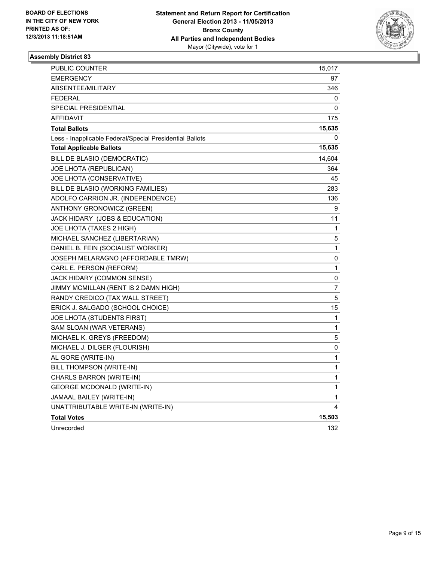

| PUBLIC COUNTER                                           | 15,017 |
|----------------------------------------------------------|--------|
| EMERGENCY                                                | 97     |
| ABSENTEE/MILITARY                                        | 346    |
| FEDERAL                                                  | 0      |
| SPECIAL PRESIDENTIAL                                     | 0      |
| <b>AFFIDAVIT</b>                                         | 175    |
| <b>Total Ballots</b>                                     | 15,635 |
| Less - Inapplicable Federal/Special Presidential Ballots | 0      |
| <b>Total Applicable Ballots</b>                          | 15,635 |
| BILL DE BLASIO (DEMOCRATIC)                              | 14,604 |
| JOE LHOTA (REPUBLICAN)                                   | 364    |
| JOE LHOTA (CONSERVATIVE)                                 | 45     |
| BILL DE BLASIO (WORKING FAMILIES)                        | 283    |
| ADOLFO CARRION JR. (INDEPENDENCE)                        | 136    |
| ANTHONY GRONOWICZ (GREEN)                                | 9      |
| JACK HIDARY (JOBS & EDUCATION)                           | 11     |
| JOE LHOTA (TAXES 2 HIGH)                                 | 1      |
| MICHAEL SANCHEZ (LIBERTARIAN)                            | 5      |
| DANIEL B. FEIN (SOCIALIST WORKER)                        | 1      |
| JOSEPH MELARAGNO (AFFORDABLE TMRW)                       | 0      |
| CARL E. PERSON (REFORM)                                  | 1      |
| JACK HIDARY (COMMON SENSE)                               | 0      |
| JIMMY MCMILLAN (RENT IS 2 DAMN HIGH)                     | 7      |
| RANDY CREDICO (TAX WALL STREET)                          | 5      |
| ERICK J. SALGADO (SCHOOL CHOICE)                         | 15     |
| JOE LHOTA (STUDENTS FIRST)                               | 1      |
| SAM SLOAN (WAR VETERANS)                                 | 1      |
| MICHAEL K. GREYS (FREEDOM)                               | 5      |
| MICHAEL J. DILGER (FLOURISH)                             | 0      |
| AL GORE (WRITE-IN)                                       | 1      |
| BILL THOMPSON (WRITE-IN)                                 | 1      |
| CHARLS BARRON (WRITE-IN)                                 | 1      |
| <b>GEORGE MCDONALD (WRITE-IN)</b>                        | 1      |
| JAMAAL BAILEY (WRITE-IN)                                 | 1      |
| UNATTRIBUTABLE WRITE-IN (WRITE-IN)                       | 4      |
| <b>Total Votes</b>                                       | 15,503 |
| Unrecorded                                               | 132    |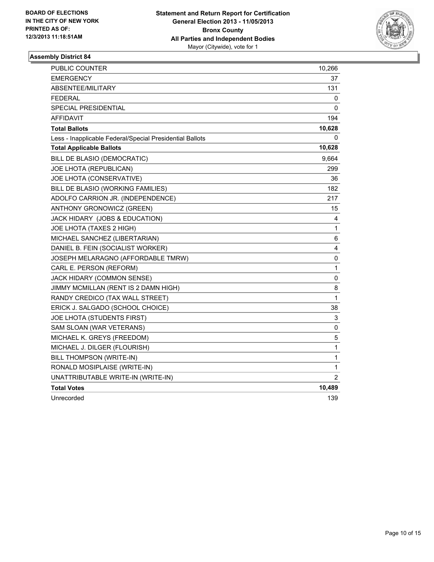

| <b>PUBLIC COUNTER</b>                                    | 10,266         |
|----------------------------------------------------------|----------------|
| <b>EMERGENCY</b>                                         | 37             |
| <b>ABSENTEE/MILITARY</b>                                 | 131            |
| <b>FEDERAL</b>                                           | 0              |
| <b>SPECIAL PRESIDENTIAL</b>                              | 0              |
| AFFIDAVIT                                                | 194            |
| <b>Total Ballots</b>                                     | 10,628         |
| Less - Inapplicable Federal/Special Presidential Ballots | 0              |
| <b>Total Applicable Ballots</b>                          | 10,628         |
| BILL DE BLASIO (DEMOCRATIC)                              | 9,664          |
| JOE LHOTA (REPUBLICAN)                                   | 299            |
| JOE LHOTA (CONSERVATIVE)                                 | 36             |
| BILL DE BLASIO (WORKING FAMILIES)                        | 182            |
| ADOLFO CARRION JR. (INDEPENDENCE)                        | 217            |
| ANTHONY GRONOWICZ (GREEN)                                | 15             |
| JACK HIDARY (JOBS & EDUCATION)                           | 4              |
| JOE LHOTA (TAXES 2 HIGH)                                 | 1              |
| MICHAEL SANCHEZ (LIBERTARIAN)                            | 6              |
| DANIEL B. FEIN (SOCIALIST WORKER)                        | 4              |
| JOSEPH MELARAGNO (AFFORDABLE TMRW)                       | 0              |
| CARL E. PERSON (REFORM)                                  | $\mathbf{1}$   |
| JACK HIDARY (COMMON SENSE)                               | 0              |
| JIMMY MCMILLAN (RENT IS 2 DAMN HIGH)                     | 8              |
| RANDY CREDICO (TAX WALL STREET)                          | 1              |
| ERICK J. SALGADO (SCHOOL CHOICE)                         | 38             |
| JOE LHOTA (STUDENTS FIRST)                               | 3              |
| SAM SLOAN (WAR VETERANS)                                 | 0              |
| MICHAEL K. GREYS (FREEDOM)                               | 5              |
| MICHAEL J. DILGER (FLOURISH)                             | 1              |
| BILL THOMPSON (WRITE-IN)                                 | 1              |
| RONALD MOSIPLAISE (WRITE-IN)                             | 1              |
| UNATTRIBUTABLE WRITE-IN (WRITE-IN)                       | $\overline{2}$ |
| <b>Total Votes</b>                                       | 10,489         |
| Unrecorded                                               | 139            |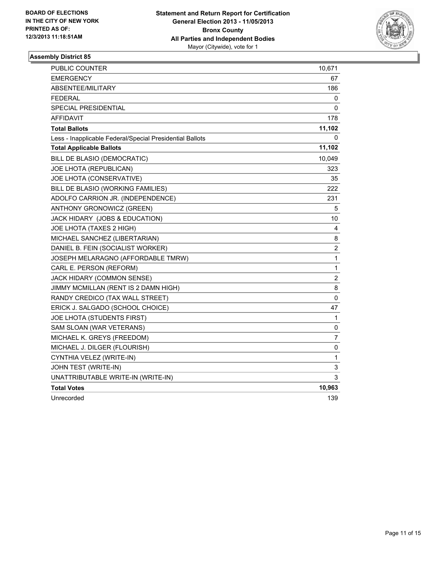

| <b>PUBLIC COUNTER</b>                                    | 10,671           |
|----------------------------------------------------------|------------------|
| <b>EMERGENCY</b>                                         | 67               |
| <b>ABSENTEE/MILITARY</b>                                 | 186              |
| <b>FEDERAL</b>                                           | 0                |
| SPECIAL PRESIDENTIAL                                     | 0                |
| <b>AFFIDAVIT</b>                                         | 178              |
| <b>Total Ballots</b>                                     | 11,102           |
| Less - Inapplicable Federal/Special Presidential Ballots | 0                |
| <b>Total Applicable Ballots</b>                          | 11,102           |
| BILL DE BLASIO (DEMOCRATIC)                              | 10,049           |
| JOE LHOTA (REPUBLICAN)                                   | 323              |
| JOE LHOTA (CONSERVATIVE)                                 | 35               |
| BILL DE BLASIO (WORKING FAMILIES)                        | 222              |
| ADOLFO CARRION JR. (INDEPENDENCE)                        | 231              |
| ANTHONY GRONOWICZ (GREEN)                                | 5                |
| JACK HIDARY (JOBS & EDUCATION)                           | 10               |
| JOE LHOTA (TAXES 2 HIGH)                                 | 4                |
| MICHAEL SANCHEZ (LIBERTARIAN)                            | 8                |
| DANIEL B. FEIN (SOCIALIST WORKER)                        | $\boldsymbol{2}$ |
| JOSEPH MELARAGNO (AFFORDABLE TMRW)                       | $\mathbf{1}$     |
| CARL E. PERSON (REFORM)                                  | 1                |
| JACK HIDARY (COMMON SENSE)                               | 2                |
| JIMMY MCMILLAN (RENT IS 2 DAMN HIGH)                     | 8                |
| RANDY CREDICO (TAX WALL STREET)                          | 0                |
| ERICK J. SALGADO (SCHOOL CHOICE)                         | 47               |
| JOE LHOTA (STUDENTS FIRST)                               | 1                |
| SAM SLOAN (WAR VETERANS)                                 | 0                |
| MICHAEL K. GREYS (FREEDOM)                               | 7                |
| MICHAEL J. DILGER (FLOURISH)                             | 0                |
| CYNTHIA VELEZ (WRITE-IN)                                 | 1                |
| JOHN TEST (WRITE-IN)                                     | 3                |
| UNATTRIBUTABLE WRITE-IN (WRITE-IN)                       | 3                |
| <b>Total Votes</b>                                       | 10,963           |
| Unrecorded                                               | 139              |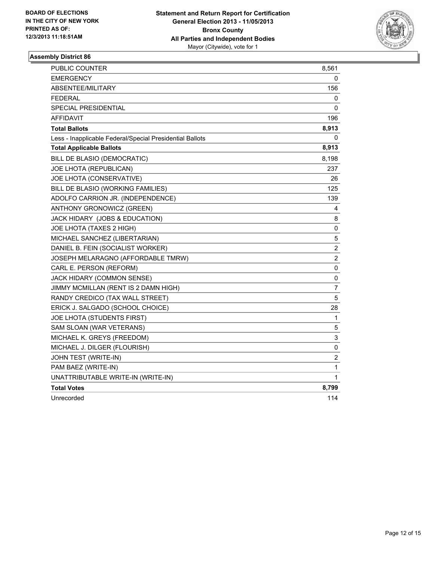

| <b>PUBLIC COUNTER</b>                                    | 8,561            |
|----------------------------------------------------------|------------------|
| <b>EMERGENCY</b>                                         | 0                |
| <b>ABSENTEE/MILITARY</b>                                 | 156              |
| <b>FEDERAL</b>                                           | 0                |
| SPECIAL PRESIDENTIAL                                     | 0                |
| <b>AFFIDAVIT</b>                                         | 196              |
| <b>Total Ballots</b>                                     | 8,913            |
| Less - Inapplicable Federal/Special Presidential Ballots | 0                |
| <b>Total Applicable Ballots</b>                          | 8,913            |
| BILL DE BLASIO (DEMOCRATIC)                              | 8,198            |
| JOE LHOTA (REPUBLICAN)                                   | 237              |
| JOE LHOTA (CONSERVATIVE)                                 | 26               |
| BILL DE BLASIO (WORKING FAMILIES)                        | 125              |
| ADOLFO CARRION JR. (INDEPENDENCE)                        | 139              |
| ANTHONY GRONOWICZ (GREEN)                                | 4                |
| JACK HIDARY (JOBS & EDUCATION)                           | 8                |
| JOE LHOTA (TAXES 2 HIGH)                                 | 0                |
| MICHAEL SANCHEZ (LIBERTARIAN)                            | 5                |
| DANIEL B. FEIN (SOCIALIST WORKER)                        | $\boldsymbol{2}$ |
| JOSEPH MELARAGNO (AFFORDABLE TMRW)                       | $\overline{2}$   |
| CARL E. PERSON (REFORM)                                  | 0                |
| JACK HIDARY (COMMON SENSE)                               | 0                |
| JIMMY MCMILLAN (RENT IS 2 DAMN HIGH)                     | 7                |
| RANDY CREDICO (TAX WALL STREET)                          | 5                |
| ERICK J. SALGADO (SCHOOL CHOICE)                         | 28               |
| JOE LHOTA (STUDENTS FIRST)                               | 1                |
| SAM SLOAN (WAR VETERANS)                                 | 5                |
| MICHAEL K. GREYS (FREEDOM)                               | 3                |
| MICHAEL J. DILGER (FLOURISH)                             | 0                |
| JOHN TEST (WRITE-IN)                                     | 2                |
| PAM BAEZ (WRITE-IN)                                      | 1                |
| UNATTRIBUTABLE WRITE-IN (WRITE-IN)                       | $\mathbf 1$      |
| <b>Total Votes</b>                                       | 8,799            |
| Unrecorded                                               | 114              |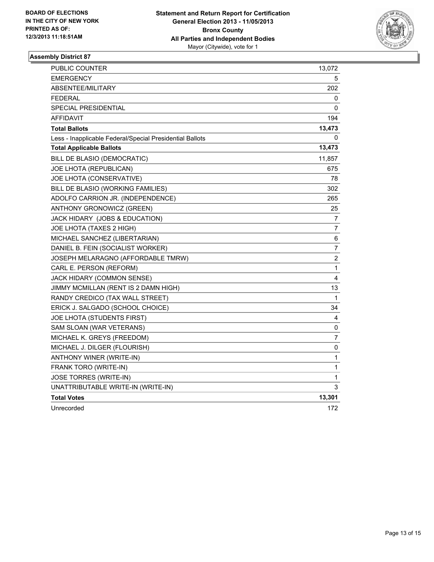

| PUBLIC COUNTER                                           | 13,072                  |
|----------------------------------------------------------|-------------------------|
| <b>EMERGENCY</b>                                         | 5.                      |
| <b>ABSENTEE/MILITARY</b>                                 | 202                     |
| <b>FEDERAL</b>                                           | 0                       |
| SPECIAL PRESIDENTIAL                                     | 0                       |
| <b>AFFIDAVIT</b>                                         | 194                     |
| <b>Total Ballots</b>                                     | 13,473                  |
| Less - Inapplicable Federal/Special Presidential Ballots | 0                       |
| <b>Total Applicable Ballots</b>                          | 13,473                  |
| BILL DE BLASIO (DEMOCRATIC)                              | 11,857                  |
| JOE LHOTA (REPUBLICAN)                                   | 675                     |
| JOE LHOTA (CONSERVATIVE)                                 | 78                      |
| BILL DE BLASIO (WORKING FAMILIES)                        | 302                     |
| ADOLFO CARRION JR. (INDEPENDENCE)                        | 265                     |
| ANTHONY GRONOWICZ (GREEN)                                | 25                      |
| JACK HIDARY (JOBS & EDUCATION)                           | 7                       |
| JOE LHOTA (TAXES 2 HIGH)                                 | 7                       |
| MICHAEL SANCHEZ (LIBERTARIAN)                            | 6                       |
| DANIEL B. FEIN (SOCIALIST WORKER)                        | $\overline{7}$          |
| JOSEPH MELARAGNO (AFFORDABLE TMRW)                       | $\overline{\mathbf{c}}$ |
| CARL E. PERSON (REFORM)                                  | 1                       |
| JACK HIDARY (COMMON SENSE)                               | 4                       |
| JIMMY MCMILLAN (RENT IS 2 DAMN HIGH)                     | 13                      |
| RANDY CREDICO (TAX WALL STREET)                          | 1                       |
| ERICK J. SALGADO (SCHOOL CHOICE)                         | 34                      |
| JOE LHOTA (STUDENTS FIRST)                               | 4                       |
| SAM SLOAN (WAR VETERANS)                                 | 0                       |
| MICHAEL K. GREYS (FREEDOM)                               | 7                       |
| MICHAEL J. DILGER (FLOURISH)                             | $\pmb{0}$               |
| ANTHONY WINER (WRITE-IN)                                 | 1                       |
| FRANK TORO (WRITE-IN)                                    | $\mathbf 1$             |
| JOSE TORRES (WRITE-IN)                                   | 1                       |
| UNATTRIBUTABLE WRITE-IN (WRITE-IN)                       | 3                       |
| <b>Total Votes</b>                                       | 13,301                  |
| Unrecorded                                               | 172                     |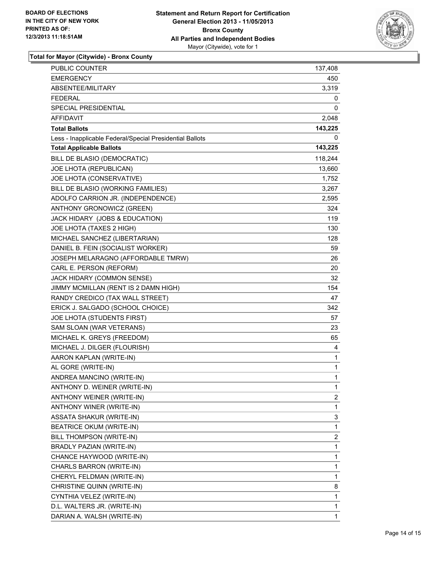

**Total for Mayor (Citywide) - Bronx County**

| PUBLIC COUNTER                                           | 137,408 |
|----------------------------------------------------------|---------|
| EMERGENCY                                                | 450     |
| ABSENTEE/MILITARY                                        | 3,319   |
| <b>FEDERAL</b>                                           | 0       |
| <b>SPECIAL PRESIDENTIAL</b>                              | 0       |
| AFFIDAVIT                                                | 2,048   |
| <b>Total Ballots</b>                                     | 143,225 |
| Less - Inapplicable Federal/Special Presidential Ballots | 0       |
| <b>Total Applicable Ballots</b>                          | 143,225 |
| BILL DE BLASIO (DEMOCRATIC)                              | 118,244 |
| JOE LHOTA (REPUBLICAN)                                   | 13,660  |
| JOE LHOTA (CONSERVATIVE)                                 | 1,752   |
| BILL DE BLASIO (WORKING FAMILIES)                        | 3,267   |
| ADOLFO CARRION JR. (INDEPENDENCE)                        | 2,595   |
| ANTHONY GRONOWICZ (GREEN)                                | 324     |
| JACK HIDARY (JOBS & EDUCATION)                           | 119     |
| JOE LHOTA (TAXES 2 HIGH)                                 | 130     |
| MICHAEL SANCHEZ (LIBERTARIAN)                            | 128     |
| DANIEL B. FEIN (SOCIALIST WORKER)                        | 59      |
| JOSEPH MELARAGNO (AFFORDABLE TMRW)                       | 26      |
| CARL E. PERSON (REFORM)                                  | 20      |
| JACK HIDARY (COMMON SENSE)                               | 32      |
| JIMMY MCMILLAN (RENT IS 2 DAMN HIGH)                     | 154     |
| RANDY CREDICO (TAX WALL STREET)                          | 47      |
| ERICK J. SALGADO (SCHOOL CHOICE)                         | 342     |
| JOE LHOTA (STUDENTS FIRST)                               | 57      |
| SAM SLOAN (WAR VETERANS)                                 | 23      |
| MICHAEL K. GREYS (FREEDOM)                               | 65      |
| MICHAEL J. DILGER (FLOURISH)                             | 4       |
| AARON KAPLAN (WRITE-IN)                                  | 1       |
| AL GORE (WRITE-IN)                                       | 1       |
| ANDREA MANCINO (WRITE-IN)                                | 1       |
| ANTHONY D. WEINER (WRITE-IN)                             | 1       |
| ANTHONY WEINER (WRITE-IN)                                | 2       |
| ANTHONY WINER (WRITE-IN)                                 | 1       |
| ASSATA SHAKUR (WRITE-IN)                                 | 3       |
| <b>BEATRICE OKUM (WRITE-IN)</b>                          | 1       |
| BILL THOMPSON (WRITE-IN)                                 | 2       |
| BRADLY PAZIAN (WRITE-IN)                                 | 1       |
| CHANCE HAYWOOD (WRITE-IN)                                | 1       |
| CHARLS BARRON (WRITE-IN)                                 | 1       |
| CHERYL FELDMAN (WRITE-IN)                                | 1       |
| CHRISTINE QUINN (WRITE-IN)                               | 8       |
| CYNTHIA VELEZ (WRITE-IN)                                 | 1       |
| D.L. WALTERS JR. (WRITE-IN)                              | 1       |
| DARIAN A. WALSH (WRITE-IN)                               | 1       |